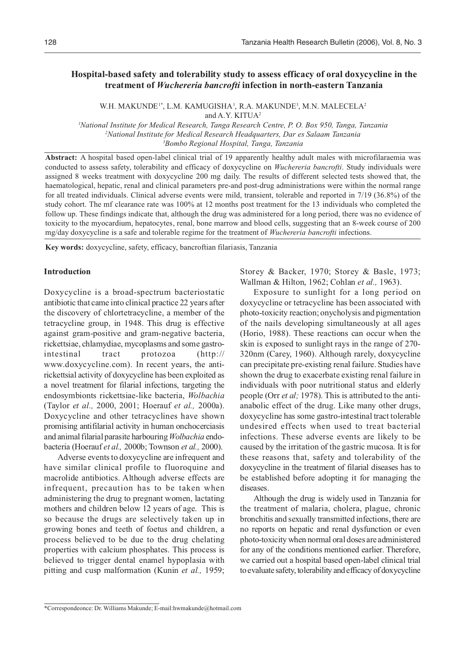# **Hospital-based safety and tolerability study to assess efficacy of oral doxycycline in the treatment of** *Wuchereria bancrofti* **infection in north-eastern Tanzania**

W.H. MAKUNDE<sup>1\*</sup>, L.M. KAMUGISHA<sup>1</sup>, R.A. MAKUNDE<sup>3</sup>, M.N. MALECELA<sup>2</sup> and A.Y. KITUA<sup>2</sup>

*1 National Institute for Medical Research, Tanga Research Centre, P. O. Box 950, Tanga, Tanzania 2 National Institute for Medical Research Headquarters, Dar es Salaam Tanzania 3 Bombo Regional Hospital, Tanga, Tanzania*

**Abstract:** A hospital based open-label clinical trial of 19 apparently healthy adult males with microfilaraemia was conducted to assess safety, tolerability and efficacy of doxycycline on *Wuchereria bancrofti*. Study individuals were assigned 8 weeks treatment with doxycycline 200 mg daily. The results of different selected tests showed that, the haematological, hepatic, renal and clinical parameters pre-and post-drug administrations were within the normal range for all treated individuals. Clinical adverse events were mild, transient, tolerable and reported in 7/19 (36.8%) of the study cohort. The mf clearance rate was 100% at 12 months post treatment for the 13 individuals who completed the follow up. These findings indicate that, although the drug was administered for a long period, there was no evidence of toxicity to the myocardium, hepatocytes, renal, bone marrow and blood cells, suggesting that an 8-week course of 200 mg/day doxycycline is a safe and tolerable regime for the treatment of *Wuchereria bancrofti* infections.

**Key words:** doxycycline, safety, efficacy, bancroftian filariasis, Tanzania

## **Introduction**

Doxycycline is a broad-spectrum bacteriostatic antibiotic that came into clinical practice 22 years after the discovery of chlortetracycline, a member of the tetracycline group, in 1948. This drug is effective against gram-positive and gram-negative bacteria, rickettsiae, chlamydiae, mycoplasms and some gastrointestinal tract protozoa (http:// www.doxycycline.com). In recent years, the antirickettsial activity of doxycycline has been exploited as a novel treatment for filarial infections, targeting the endosymbionts rickettsiae-like bacteria, *Wolbachia* (Taylor *et al.,* 2000, 2001; Hoerauf *et al.,* 2000a). Doxycycline and other tetracyclines have shown promising antifilarial activity in human onchocerciasis and animal filarial parasite harbouring *Wolbachia* endobacteria (Hoerauf *et al.,* 2000b; Townson *et al.,* 2000).

Adverse events to doxycycline are infrequent and have similar clinical profile to fluoroquine and macrolide antibiotics. Although adverse effects are infrequent, precaution has to be taken when administering the drug to pregnant women, lactating mothers and children below 12 years of age. This is so because the drugs are selectively taken up in growing bones and teeth of foetus and children, a process believed to be due to the drug chelating properties with calcium phosphates. This process is believed to trigger dental enamel hypoplasia with pitting and cusp malformation (Kunin *et al.,* 1959;

Storey & Backer, 1970; Storey & Basle, 1973; Wallman & Hilton, 1962; Cohlan *et al.,* 1963).

Exposure to sunlight for a long period on doxycycline or tetracycline has been associated with photo-toxicity reaction; onycholysis and pigmentation of the nails developing simultaneously at all ages (Horio, 1988). These reactions can occur when the skin is exposed to sunlight rays in the range of 270- 320nm (Carey, 1960). Although rarely, doxycycline can precipitate pre-existing renal failure. Studies have shown the drug to exacerbate existing renal failure in individuals with poor nutritional status and elderly people (Orr *et al;* 1978). This is attributed to the antianabolic effect of the drug. Like many other drugs, doxycycline has some gastro-intestinal tract tolerable undesired effects when used to treat bacterial infections. These adverse events are likely to be caused by the irritation of the gastric mucosa. It is for these reasons that, safety and tolerability of the doxycycline in the treatment of filarial diseases has to be established before adopting it for managing the diseases.

Although the drug is widely used in Tanzania for the treatment of malaria, cholera, plague, chronic bronchitis and sexually transmitted infections, there are no reports on hepatic and renal dysfunction or even photo-toxicity when normal oral doses are administered for any of the conditions mentioned earlier. Therefore, we carried out a hospital based open-label clinical trial to evaluate safety, tolerability and efficacy of doxycycline

<sup>\*</sup>Correspondeonce: Dr. Williams Makunde; E-mail:hwmakunde@hotmail.com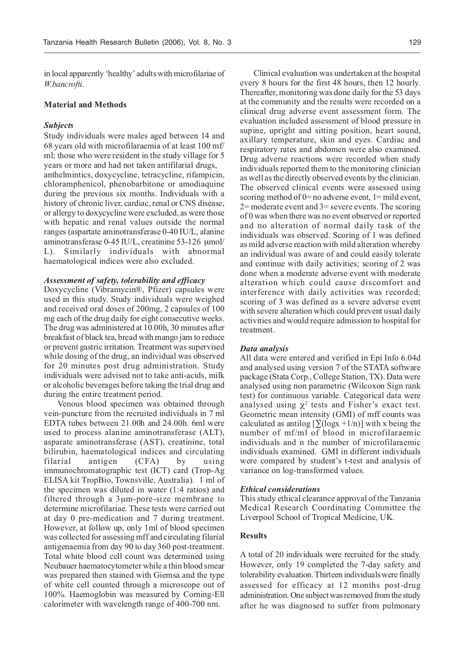in local apparently 'healthy' adults with microfilariae of *W.bancrofti*.

#### **Material and Methods**

#### *Subjects*

Study individuals were males aged between 14 and 68 years old with microfilaraemia of at least 100 mf/ ml; those who were resident in the study village for 5 years or more and had not taken antifilarial drugs, anthelmintics, doxycycline, tetracycline, rifampicin, chloramphenicol, phenobarbitone or amodiaquine during the previous six months. Individuals with a history of chronic liver, cardiac, renal or CNS disease, or allergy to doxycycline were excluded, as were those with hepatic and renal values outside the normal ranges (aspartate aminotransferase 0-40 IU/L, alanine aminotransferase 0-45 IU/L, creatinine 53-126 µmol/ L). Similarly individuals with abnormal haematological indices were also excluded.

## *Assessment of safety, tolerability and efficacy*

Doxycycline (Vibramycin®, Pfizer) capsules were used in this study. Study individuals were weighed and received oral doses of 200mg, 2 capsules of 100 mg each of the drug daily for eight consecutive weeks. The drug was administered at 10.00h, 30 minutes after breakfast of black tea, bread with mango jam to reduce or prevent gastric irritation. Treatment was supervised while dosing of the drug, an individual was observed for 20 minutes post drug administration. Study individuals were advised not to take anti-acids, milk or alcoholic beverages before taking the trial drug and during the entire treatment period.

Venous blood specimen was obtained through vein-puncture from the recruited individuals in 7 ml EDTA tubes between 21.00h and 24.00h. 6ml were used to process alanine aminotransferase (ALT), asparate aminotransferase (AST), creatinine, total bilirubin, haematological indices and circulating filarial antigen (CFA) by using immunochromatographic test (ICT) card (Trop-Ag ELISA kit TropBio, Townsville, Australia). 1 ml of the specimen was diluted in water (1:4 ratios) and filtered through a 3µm-pore-size membrane to determine microfilariae. These tests were carried out at day 0 pre-medication and 7 during treatment. However, at follow up, only 1ml of blood specimen was collected for assessing mff and circulating filarial antigenaemia from day 90 to day 360 post-treatment. Total white blood cell count was determined using Neubauer haematocytometer while a thin blood smear was prepared then stained with Giemsa and the type of white cell counted through a microscope out of 100%. Haemoglobin was measured by Corning-Ell calorimeter with wavelength range of 400-700 nm.

Clinical evaluation was undertaken at the hospital every 8 hours for the first 48 hours, then 12 hourly. Thereafter, monitoring was done daily for the 53 days at the community and the results were recorded on a clinical drug adverse event assessment form. The evaluation included assessment of blood pressure in supine, upright and sitting position, heart sound, axillary temperature, skin and eyes. Cardiac and respiratory rates and abdomen were also examined. Drug adverse reactions were recorded when study individuals reported them to the monitoring clinician as well as the directly observed events by the clinician. The observed clinical events were assessed using scoring method of  $0=$  no adverse event,  $1=$  mild event, 2= moderate event and 3= severe events. The scoring of 0 was when there was no event observed or reported and no alteration of normal daily task of the individuals was observed. Scoring of 1 was defined as mild adverse reaction with mild alteration whereby an individual was aware of and could easily tolerate and continue with daily activities; scoring of 2 was done when a moderate adverse event with moderate alteration which could cause discomfort and interference with daily activities was recorded; scoring of 3 was defined as a severe adverse event with severe alteration which could prevent usual daily activities and would require admission to hospital for treatment.

## *Data analysis*

All data were entered and verified in Epi Info 6.04d and analysed using version 7 of the STATA software package (Stata Corp., College Station, TX). Data were analysed using non parametric (Wilcoxon Sign rank test) for continuous variable. Categorical data were analysed using  $\chi^2$  tests and Fisher's exact test. Geometric mean intensity (GMI) of mff counts was calculated as antilog  $[\Sigma(\log x + 1/n)]$  with x being the number of mf/ml of blood in microfilaraemic individuals and n the number of microfilaraemic individuals examined. GMI in different individuals were compared by student's t-test and analysis of variance on log-transformed values.

#### *Ethical considerations*

This study ethical clearance approval of the Tanzania Medical Research Coordinating Committee the Liverpool School of Tropical Medicine, UK.

## **Results**

A total of 20 individuals were recruited for the study. However, only 19 completed the 7-day safety and tolerability evaluation. Thirteen individuals were finally assessed for efficacy at 12 months post-drug administration. One subject was removed from the study after he was diagnosed to suffer from pulmonary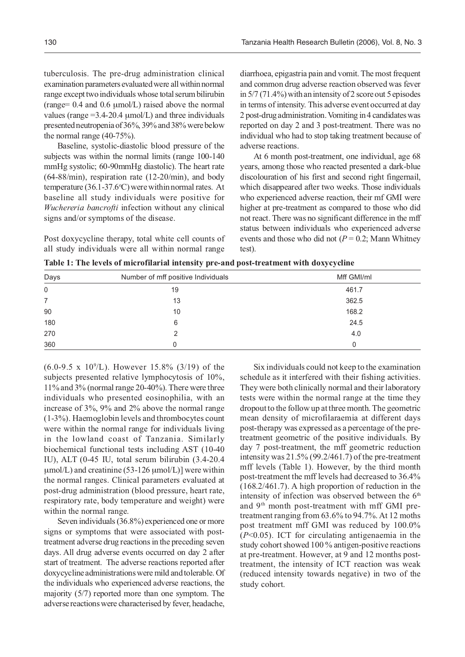tuberculosis. The pre-drug administration clinical examination parameters evaluated were all within normal range except two individuals whose total serum bilirubin  $(range= 0.4$  and  $0.6 \mu \text{mol/L}$  raised above the normal values (range  $=3.4-20.4 \mu$ mol/L) and three individuals presented neutropenia of 36%, 39% and 38% were below the normal range (40-75%).

Baseline, systolic-diastolic blood pressure of the subjects was within the normal limits (range 100-140 mmHg systolic; 60-90mmHg diastolic). The heart rate (64-88/min), respiration rate (12-20/min), and body temperature  $(36.1-37.6$ °C) were within normal rates. At baseline all study individuals were positive for *Wuchereria bancrofti* infection without any clinical signs and/or symptoms of the disease.

Post doxycycline therapy, total white cell counts of all study individuals were all within normal range

diarrhoea, epigastria pain and vomit. The most frequent and common drug adverse reaction observed was fever in 5/7 (71.4%) with an intensity of 2 score out 5 episodes in terms of intensity. This adverse event occurred at day 2 post-drug administration. Vomiting in 4 candidates was reported on day 2 and 3 post-treatment. There was no individual who had to stop taking treatment because of adverse reactions.

At 6 month post-treatment, one individual, age 68 years, among those who reacted presented a dark-blue discolouration of his first and second right fingernail, which disappeared after two weeks. Those individuals who experienced adverse reaction, their mf GMI were higher at pre-treatment as compared to those who did not react. There was no significant difference in the mff status between individuals who experienced adverse events and those who did not  $(P = 0.2)$ ; Mann Whitney test).

| Days        | Number of mff positive Individuals | Mff GMI/ml |
|-------------|------------------------------------|------------|
| $\mathbf 0$ | 19                                 | 461.7      |
| 7           | 13                                 | 362.5      |
| 90          | 10                                 | 168.2      |
| 180         | 6                                  | 24.5       |
| 270         |                                    | 4.0        |
| 360         |                                    |            |

**Table 1: The levels of microfilarial intensity pre-and post-treatment with doxycycline**

 $(6.0\n-9.5 \times 10^9$ /L). However 15.8% (3/19) of the subjects presented relative lymphocytosis of 10%, 11% and 3% (normal range 20-40%). There were three individuals who presented eosinophilia, with an increase of 3%, 9% and 2% above the normal range (1-3%). Haemoglobin levels and thrombocytes count were within the normal range for individuals living in the lowland coast of Tanzania. Similarly biochemical functional tests including AST (10-40 IU), ALT (0-45 IU, total serum bilirubin (3.4-20.4  $\mu$ mol/L) and creatinine (53-126  $\mu$ mol/L)] were within the normal ranges. Clinical parameters evaluated at post-drug administration (blood pressure, heart rate, respiratory rate, body temperature and weight) were within the normal range.

Seven individuals (36.8%) experienced one or more signs or symptoms that were associated with posttreatment adverse drug reactions in the preceding seven days. All drug adverse events occurred on day 2 after start of treatment. The adverse reactions reported after doxycycline administrations were mild and tolerable. Of the individuals who experienced adverse reactions, the majority (5/7) reported more than one symptom. The adverse reactions were characterised by fever, headache,

Six individuals could not keep to the examination schedule as it interfered with their fishing activities. They were both clinically normal and their laboratory tests were within the normal range at the time they dropout to the follow up at three month. The geometric mean density of microfilaraemia at different days post-therapy was expressed as a percentage of the pretreatment geometric of the positive individuals. By day 7 post-treatment, the mff geometric reduction intensity was 21.5% (99.2/461.7) of the pre-treatment mff levels (Table 1). However, by the third month post-treatment the mff levels had decreased to 36.4% (168.2/461.7). A high proportion of reduction in the intensity of infection was observed between the  $6<sup>th</sup>$ and 9th month post-treatment with mff GMI pretreatment ranging from 63.6% to 94.7%. At 12 moths post treatment mff GMI was reduced by 100.0% (*P*<0.05). ICT for circulating antigenaemia in the study cohort showed 100 % antigen-positive reactions at pre-treatment. However, at 9 and 12 months posttreatment, the intensity of ICT reaction was weak (reduced intensity towards negative) in two of the study cohort.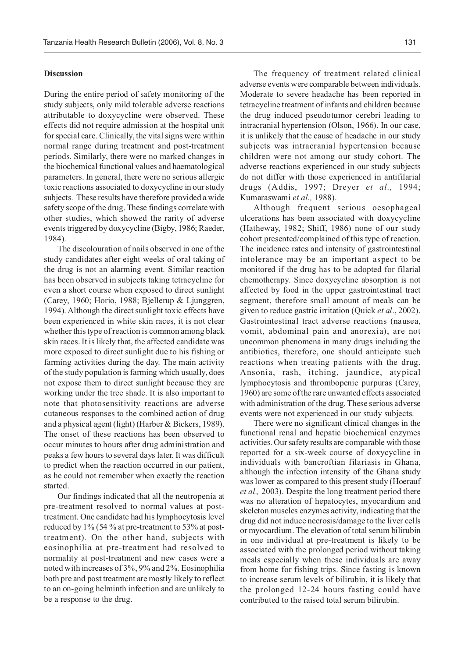## **Discussion**

During the entire period of safety monitoring of the study subjects, only mild tolerable adverse reactions attributable to doxycycline were observed. These effects did not require admission at the hospital unit for special care. Clinically, the vital signs were within normal range during treatment and post-treatment periods. Similarly, there were no marked changes in the biochemical functional values and haematological parameters. In general, there were no serious allergic toxic reactions associated to doxycycline in our study subjects. These results have therefore provided a wide safety scope of the drug. These findings correlate with other studies, which showed the rarity of adverse events triggered by doxycycline (Bigby, 1986; Raeder, 1984).

The discolouration of nails observed in one of the study candidates after eight weeks of oral taking of the drug is not an alarming event. Similar reaction has been observed in subjects taking tetracycline for even a short course when exposed to direct sunlight (Carey, 1960; Horio, 1988; Bjellerup & Ljunggren, 1994). Although the direct sunlight toxic effects have been experienced in white skin races, it is not clear whether this type of reaction is common among black skin races. It is likely that, the affected candidate was more exposed to direct sunlight due to his fishing or farming activities during the day. The main activity of the study population is farming which usually, does not expose them to direct sunlight because they are working under the tree shade. It is also important to note that photosensitivity reactions are adverse cutaneous responses to the combined action of drug and a physical agent (light) (Harber & Bickers, 1989). The onset of these reactions has been observed to occur minutes to hours after drug administration and peaks a few hours to several days later. It was difficult to predict when the reaction occurred in our patient, as he could not remember when exactly the reaction started.

Our findings indicated that all the neutropenia at pre-treatment resolved to normal values at posttreatment. One candidate had his lymphocytosis level reduced by 1% (54 % at pre-treatment to 53% at posttreatment). On the other hand, subjects with eosinophilia at pre-treatment had resolved to normality at post-treatment and new cases were a noted with increases of 3%, 9% and 2%. Eosinophilia both pre and post treatment are mostly likely to reflect to an on-going helminth infection and are unlikely to be a response to the drug.

The frequency of treatment related clinical adverse events were comparable between individuals. Moderate to severe headache has been reported in tetracycline treatment of infants and children because the drug induced pseudotumor cerebri leading to intracranial hypertension (Olson, 1966). In our case, it is unlikely that the cause of headache in our study subjects was intracranial hypertension because children were not among our study cohort. The adverse reactions experienced in our study subjects do not differ with those experienced in antifilarial drugs (Addis, 1997; Dreyer *et al.,* 1994; Kumaraswami *et al.,* 1988).

Although frequent serious oesophageal ulcerations has been associated with doxycycline (Hatheway, 1982; Shiff, 1986) none of our study cohort presented/complained of this type of reaction. The incidence rates and intensity of gastrointestinal intolerance may be an important aspect to be monitored if the drug has to be adopted for filarial chemotherapy. Since doxycycline absorption is not affected by food in the upper gastrointestinal tract segment, therefore small amount of meals can be given to reduce gastric irritation (Quick *et al*., 2002). Gastrointestinal tract adverse reactions (nausea, vomit, abdominal pain and anorexia), are not uncommon phenomena in many drugs including the antibiotics, therefore, one should anticipate such reactions when treating patients with the drug. Ansonia, rash, itching, jaundice, atypical lymphocytosis and thrombopenic purpuras (Carey, 1960) are some of the rare unwanted effects associated with administration of the drug. These serious adverse events were not experienced in our study subjects.

There were no significant clinical changes in the functional renal and hepatic biochemical enzymes activities. Our safety results are comparable with those reported for a six-week course of doxycycline in individuals with bancroftian filariasis in Ghana, although the infection intensity of the Ghana study was lower as compared to this present study (Hoerauf *et al.,* 2003). Despite the long treatment period there was no alteration of hepatocytes, myocardium and skeleton muscles enzymes activity, indicating that the drug did not induce necrosis/damage to the liver cells or myocardium. The elevation of total serum bilirubin in one individual at pre-treatment is likely to be associated with the prolonged period without taking meals especially when these individuals are away from home for fishing trips. Since fasting is known to increase serum levels of bilirubin, it is likely that the prolonged 12-24 hours fasting could have contributed to the raised total serum bilirubin.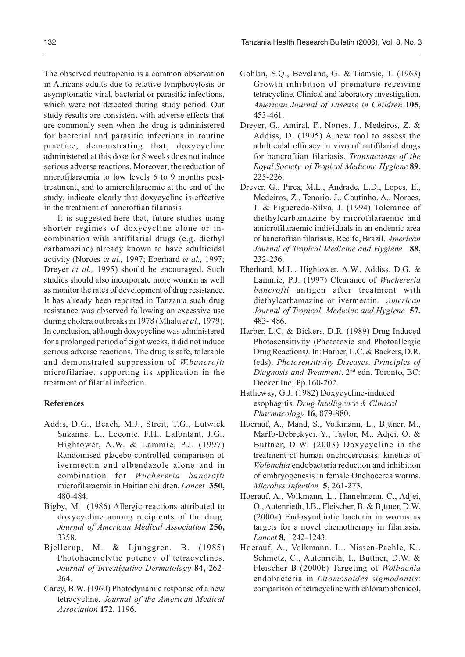The observed neutropenia is a common observation in Africans adults due to relative lymphocytosis or asymptomatic viral, bacterial or parasitic infections, which were not detected during study period. Our study results are consistent with adverse effects that are commonly seen when the drug is administered for bacterial and parasitic infections in routine practice, demonstrating that, doxycycline administered at this dose for 8 weeks does not induce serious adverse reactions. Moreover, the reduction of microfilaraemia to low levels 6 to 9 months posttreatment, and to amicrofilaraemic at the end of the study, indicate clearly that doxycycline is effective in the treatment of bancroftian filariasis.

It is suggested here that, future studies using shorter regimes of doxycycline alone or incombination with antifilarial drugs (e.g. diethyl carbamazine) already known to have adulticidal activity (Noroes *et al.,* 1997; Eberhard *et al.,* 1997; Dreyer *et al.,* 1995) should be encouraged. Such studies should also incorporate more women as well as monitor the rates of development of drug resistance. It has already been reported in Tanzania such drug resistance was observed following an excessive use during cholera outbreaks in 1978 (Mhalu *et al.,* 1979). In conclusion, although doxycycline was administered for a prolonged period of eight weeks, it did not induce serious adverse reactions. The drug is safe, tolerable and demonstrated suppression of *W.bancrofti* microfilariae, supporting its application in the treatment of filarial infection.

# **References**

- Addis, D.G., Beach, M.J., Streit, T.G., Lutwick Suzanne. L., Leconte, F.H., Lafontant, J.G., Hightower, A.W. & Lammie, P.J. (1997) Randomised placebo-controlled comparison of ivermectin and albendazole alone and in combination for *Wuchereria bancrofti* microfilaraemia in Haitian children. *Lancet* **350,** 480-484.
- Bigby, M. (1986) Allergic reactions attributed to doxycycline among recipients of the drug. *Journal of American Medical Association* **256,** 3358.
- Bjellerup, M. & Ljunggren, B. (1985) Photohaemolytic potency of tetracyclines. *Journal of Investigative Dermatology* **84,** 262- 264.
- Carey, B.W. (1960) Photodynamic response of a new tetracycline. *Journal of the American Medical Association* **172**, 1196.
- Cohlan, S.Q., Beveland, G. & Tiamsic, T. (1963) Growth inhibition of premature receiving tetracycline. Clinical and laboratory investigation. *American Journal of Disease in Children* **105**, 453-461.
- Dreyer, G., Amiral, F., Norıes, J., Medeiros, Z. & Addiss, D. (1995) A new tool to assess the adulticidal efficacy in vivo of antifilarial drugs for bancroftian filariasis. *Transactions of the Royal Society of Tropical Medicine Hygiene* **89**, 225-226.
- Dreyer, G., Pires, M.L., Andrade, L.D., Lopes, E., Medeiros, Z., Tenorio, J., Coutinho, A., Noroes, J. & Figueredo-Silva, J. (1994) Tolerance of diethylcarbamazine by microfilaraemic and amicrofilaraemic individuals in an endemic area of bancroftian filariasis, Recife, Brazil. *American Journal of Tropical Medicine and Hygiene* **88,** 232-236.
- Eberhard, M.L., Hightower, A.W., Addiss, D.G. & Lammie, P.J. (1997) Clearance of *Wuchereria bancrofti* antigen after treatment with diethylcarbamazine or ivermectin. *American Journal of Tropical Medicine and Hygiene* **57,** 483- 486.
- Harber, L.C. & Bickers, D.R. (1989) Drug Induced Photosensitivity (Phototoxic and Photoallergic Drug Reactions*)*. In: Harber, L.C. & Backers, D.R. (eds). *Photosensitivity Diseases. Principles of Diagnosis and Treatment*. 2nd edn. Toronto, BC: Decker Inc; Pp.160-202.
- Hatheway, G.J. (1982) Doxycycline-induced esophagitis. *Drug Intelligence & Clinical Pharmacology* **16**, 879-880.
- Hoerauf, A., Mand, S., Volkmann, L., B¸ttner, M., Marfo-Debrekyei, Y., Taylor, M., Adjei, O. & Buttner, D.W. (2003) Doxycycline in the treatment of human onchocerciasis: kinetics of *Wolbachia* endobacteria reduction and inhibition of embryogenesis in female Onchocerca worms. *Microbes Infection* **5**, 261-273.
- Hoerauf, A., Volkmann, L., Hamelmann, C., Adjei, O., Autenrieth, I.B., Fleischer, B. & B¸ttner, D.W. (2000a) Endosymbiotic bacteria in worms as targets for a novel chemotherapy in filariasis. *Lancet* **8,** 1242-1243.
- Hoerauf, A., Volkmann, L., Nissen-Paehle, K., Schmetz, C., Autenrieth, I., Buttner, D.W. & Fleischer B (2000b) Targeting of *Wolbachia* endobacteria in *Litomosoides sigmodontis*: comparison of tetracycline with chloramphenicol,